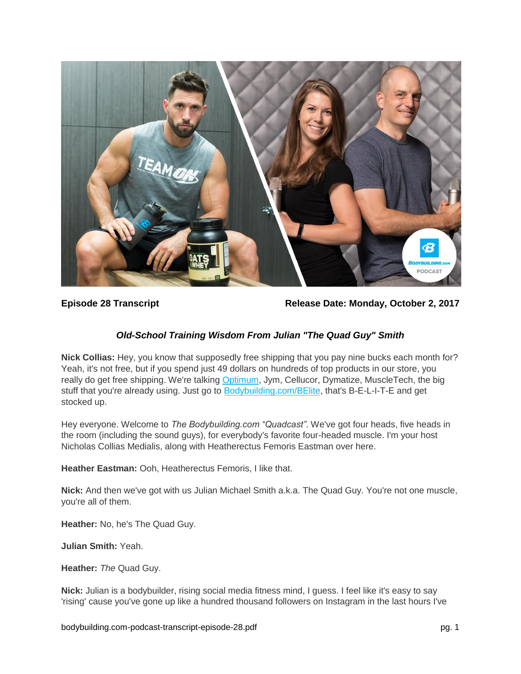

**Episode 28 Transcript Release Date: Monday, October 2, 2017**

# *Old-School Training Wisdom From Julian "The Quad Guy" Smith*

**Nick Collias:** Hey, you know that supposedly free shipping that you pay nine bucks each month for? Yeah, it's not free, but if you spend just 49 dollars on hundreds of top products in our store, you really do get free shipping. We're talking [Optimum,](https://www.bodybuilding.com/store/opt/opt.htm) Jym, Cellucor, Dymatize, MuscleTech, the big stuff that you're already using. Just go to **Bodybuilding.com/BElite**, that's B-E-L-I-T-E and get stocked up.

Hey everyone. Welcome to *The Bodybuilding.com "Quadcast"*. We've got four heads, five heads in the room (including the sound guys), for everybody's favorite four-headed muscle. I'm your host Nicholas Collias Medialis, along with Heatherectus Femoris Eastman over here.

**Heather Eastman:** Ooh, Heatherectus Femoris, I like that.

**Nick:** And then we've got with us Julian Michael Smith a.k.a. The Quad Guy. You're not one muscle, you're all of them.

**Heather:** No, he's The Quad Guy.

**Julian Smith:** Yeah.

**Heather:** *The* Quad Guy.

**Nick:** Julian is a bodybuilder, rising social media fitness mind, I guess. I feel like it's easy to say 'rising' cause you've gone up like a hundred thousand followers on Instagram in the last hours I've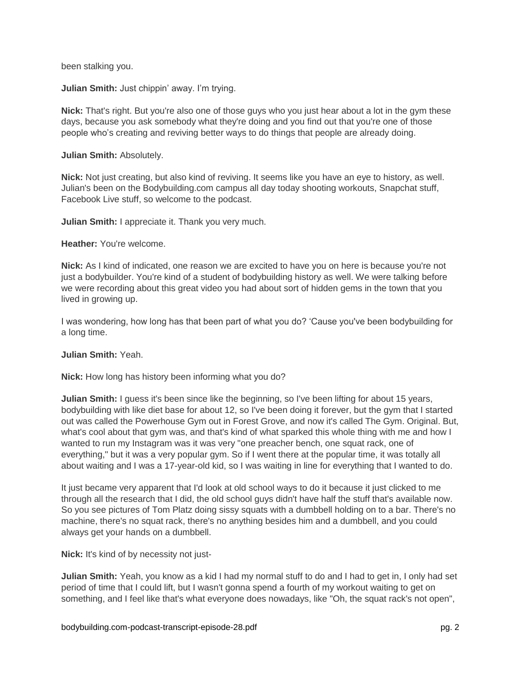been stalking you.

**Julian Smith:** Just chippin' away. I'm trying.

**Nick:** That's right. But you're also one of those guys who you just hear about a lot in the gym these days, because you ask somebody what they're doing and you find out that you're one of those people who's creating and reviving better ways to do things that people are already doing.

**Julian Smith:** Absolutely.

**Nick:** Not just creating, but also kind of reviving. It seems like you have an eye to history, as well. Julian's been on the Bodybuilding.com campus all day today shooting workouts, Snapchat stuff, Facebook Live stuff, so welcome to the podcast.

**Julian Smith:** I appreciate it. Thank you very much.

**Heather:** You're welcome.

**Nick:** As I kind of indicated, one reason we are excited to have you on here is because you're not just a bodybuilder. You're kind of a student of bodybuilding history as well. We were talking before we were recording about this great video you had about sort of hidden gems in the town that you lived in growing up.

I was wondering, how long has that been part of what you do? 'Cause you've been bodybuilding for a long time.

**Julian Smith:** Yeah.

**Nick:** How long has history been informing what you do?

**Julian Smith:** I guess it's been since like the beginning, so I've been lifting for about 15 years, bodybuilding with like diet base for about 12, so I've been doing it forever, but the gym that I started out was called the Powerhouse Gym out in Forest Grove, and now it's called The Gym. Original. But, what's cool about that gym was, and that's kind of what sparked this whole thing with me and how I wanted to run my Instagram was it was very "one preacher bench, one squat rack, one of everything," but it was a very popular gym. So if I went there at the popular time, it was totally all about waiting and I was a 17-year-old kid, so I was waiting in line for everything that I wanted to do.

It just became very apparent that I'd look at old school ways to do it because it just clicked to me through all the research that I did, the old school guys didn't have half the stuff that's available now. So you see pictures of Tom Platz doing sissy squats with a dumbbell holding on to a bar. There's no machine, there's no squat rack, there's no anything besides him and a dumbbell, and you could always get your hands on a dumbbell.

**Nick:** It's kind of by necessity not just-

**Julian Smith:** Yeah, you know as a kid I had my normal stuff to do and I had to get in, I only had set period of time that I could lift, but I wasn't gonna spend a fourth of my workout waiting to get on something, and I feel like that's what everyone does nowadays, like "Oh, the squat rack's not open",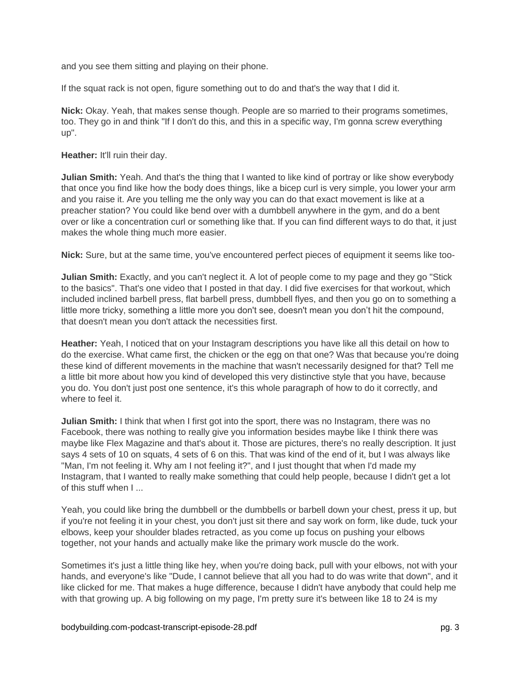and you see them sitting and playing on their phone.

If the squat rack is not open, figure something out to do and that's the way that I did it.

**Nick:** Okay. Yeah, that makes sense though. People are so married to their programs sometimes, too. They go in and think "If I don't do this, and this in a specific way, I'm gonna screw everything up".

**Heather:** It'll ruin their day.

**Julian Smith:** Yeah. And that's the thing that I wanted to like kind of portray or like show everybody that once you find like how the body does things, like a bicep curl is very simple, you lower your arm and you raise it. Are you telling me the only way you can do that exact movement is like at a preacher station? You could like bend over with a dumbbell anywhere in the gym, and do a bent over or like a concentration curl or something like that. If you can find different ways to do that, it just makes the whole thing much more easier.

**Nick:** Sure, but at the same time, you've encountered perfect pieces of equipment it seems like too-

**Julian Smith:** Exactly, and you can't neglect it. A lot of people come to my page and they go "Stick to the basics". That's one video that I posted in that day. I did five exercises for that workout, which included inclined barbell press, flat barbell press, dumbbell flyes, and then you go on to something a little more tricky, something a little more you don't see, doesn't mean you don't hit the compound, that doesn't mean you don't attack the necessities first.

**Heather:** Yeah, I noticed that on your Instagram descriptions you have like all this detail on how to do the exercise. What came first, the chicken or the egg on that one? Was that because you're doing these kind of different movements in the machine that wasn't necessarily designed for that? Tell me a little bit more about how you kind of developed this very distinctive style that you have, because you do. You don't just post one sentence, it's this whole paragraph of how to do it correctly, and where to feel it.

**Julian Smith:** I think that when I first got into the sport, there was no Instagram, there was no Facebook, there was nothing to really give you information besides maybe like I think there was maybe like Flex Magazine and that's about it. Those are pictures, there's no really description. It just says 4 sets of 10 on squats, 4 sets of 6 on this. That was kind of the end of it, but I was always like "Man, I'm not feeling it. Why am I not feeling it?", and I just thought that when I'd made my Instagram, that I wanted to really make something that could help people, because I didn't get a lot of this stuff when I ...

Yeah, you could like bring the dumbbell or the dumbbells or barbell down your chest, press it up, but if you're not feeling it in your chest, you don't just sit there and say work on form, like dude, tuck your elbows, keep your shoulder blades retracted, as you come up focus on pushing your elbows together, not your hands and actually make like the primary work muscle do the work.

Sometimes it's just a little thing like hey, when you're doing back, pull with your elbows, not with your hands, and everyone's like "Dude, I cannot believe that all you had to do was write that down", and it like clicked for me. That makes a huge difference, because I didn't have anybody that could help me with that growing up. A big following on my page, I'm pretty sure it's between like 18 to 24 is my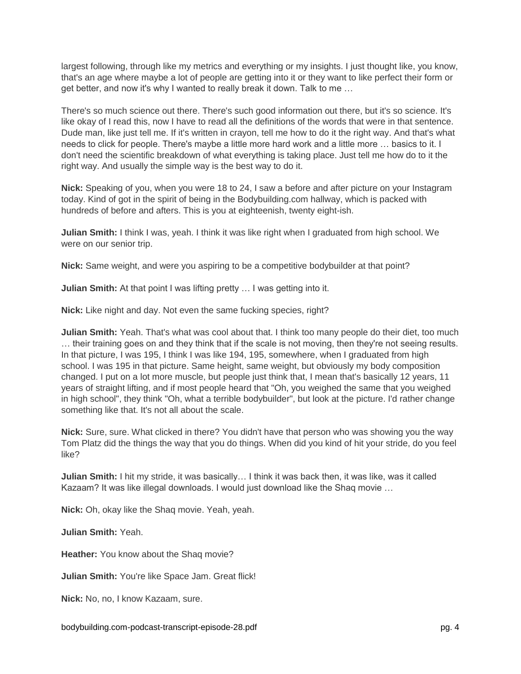largest following, through like my metrics and everything or my insights. I just thought like, you know, that's an age where maybe a lot of people are getting into it or they want to like perfect their form or get better, and now it's why I wanted to really break it down. Talk to me …

There's so much science out there. There's such good information out there, but it's so science. It's like okay of I read this, now I have to read all the definitions of the words that were in that sentence. Dude man, like just tell me. If it's written in crayon, tell me how to do it the right way. And that's what needs to click for people. There's maybe a little more hard work and a little more … basics to it. I don't need the scientific breakdown of what everything is taking place. Just tell me how do to it the right way. And usually the simple way is the best way to do it.

**Nick:** Speaking of you, when you were 18 to 24, I saw a before and after picture on your Instagram today. Kind of got in the spirit of being in the Bodybuilding.com hallway, which is packed with hundreds of before and afters. This is you at eighteenish, twenty eight-ish.

**Julian Smith:** I think I was, yeah. I think it was like right when I graduated from high school. We were on our senior trip.

**Nick:** Same weight, and were you aspiring to be a competitive bodybuilder at that point?

**Julian Smith:** At that point I was lifting pretty ... I was getting into it.

**Nick:** Like night and day. Not even the same fucking species, right?

**Julian Smith:** Yeah. That's what was cool about that. I think too many people do their diet, too much … their training goes on and they think that if the scale is not moving, then they're not seeing results. In that picture, I was 195, I think I was like 194, 195, somewhere, when I graduated from high school. I was 195 in that picture. Same height, same weight, but obviously my body composition changed. I put on a lot more muscle, but people just think that, I mean that's basically 12 years, 11 years of straight lifting, and if most people heard that "Oh, you weighed the same that you weighed in high school", they think "Oh, what a terrible bodybuilder", but look at the picture. I'd rather change something like that. It's not all about the scale.

**Nick:** Sure, sure. What clicked in there? You didn't have that person who was showing you the way Tom Platz did the things the way that you do things. When did you kind of hit your stride, do you feel like?

**Julian Smith:** I hit my stride, it was basically… I think it was back then, it was like, was it called Kazaam? It was like illegal downloads. I would just download like the Shaq movie …

**Nick:** Oh, okay like the Shaq movie. Yeah, yeah.

**Julian Smith:** Yeah.

**Heather:** You know about the Shaq movie?

**Julian Smith:** You're like Space Jam. Great flick!

**Nick:** No, no, I know Kazaam, sure.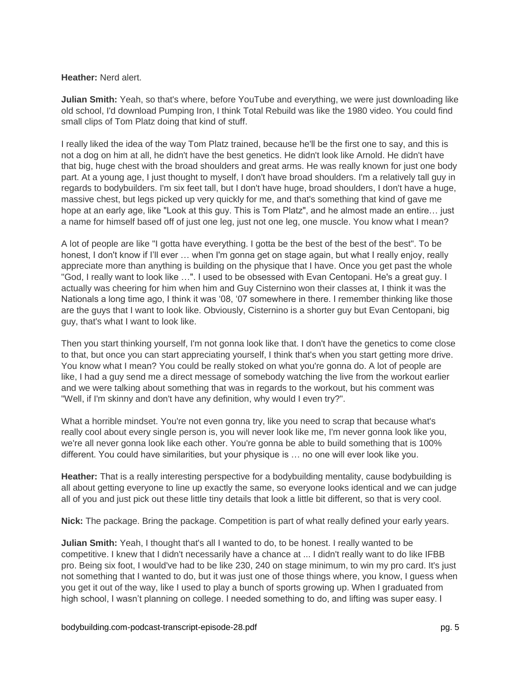#### **Heather:** Nerd alert.

**Julian Smith:** Yeah, so that's where, before YouTube and everything, we were just downloading like old school, I'd download Pumping Iron, I think Total Rebuild was like the 1980 video. You could find small clips of Tom Platz doing that kind of stuff.

I really liked the idea of the way Tom Platz trained, because he'll be the first one to say, and this is not a dog on him at all, he didn't have the best genetics. He didn't look like Arnold. He didn't have that big, huge chest with the broad shoulders and great arms. He was really known for just one body part. At a young age, I just thought to myself, I don't have broad shoulders. I'm a relatively tall guy in regards to bodybuilders. I'm six feet tall, but I don't have huge, broad shoulders, I don't have a huge, massive chest, but legs picked up very quickly for me, and that's something that kind of gave me hope at an early age, like "Look at this guy. This is Tom Platz", and he almost made an entire… just a name for himself based off of just one leg, just not one leg, one muscle. You know what I mean?

A lot of people are like "I gotta have everything. I gotta be the best of the best of the best". To be honest, I don't know if I'll ever ... when I'm gonna get on stage again, but what I really enjoy, really appreciate more than anything is building on the physique that I have. Once you get past the whole "God, I really want to look like …". I used to be obsessed with Evan Centopani. He's a great guy. I actually was cheering for him when him and Guy Cisternino won their classes at, I think it was the Nationals a long time ago, I think it was '08, '07 somewhere in there. I remember thinking like those are the guys that I want to look like. Obviously, Cisternino is a shorter guy but Evan Centopani, big guy, that's what I want to look like.

Then you start thinking yourself, I'm not gonna look like that. I don't have the genetics to come close to that, but once you can start appreciating yourself, I think that's when you start getting more drive. You know what I mean? You could be really stoked on what you're gonna do. A lot of people are like, I had a guy send me a direct message of somebody watching the live from the workout earlier and we were talking about something that was in regards to the workout, but his comment was "Well, if I'm skinny and don't have any definition, why would I even try?".

What a horrible mindset. You're not even gonna try, like you need to scrap that because what's really cool about every single person is, you will never look like me, I'm never gonna look like you, we're all never gonna look like each other. You're gonna be able to build something that is 100% different. You could have similarities, but your physique is … no one will ever look like you.

**Heather:** That is a really interesting perspective for a bodybuilding mentality, cause bodybuilding is all about getting everyone to line up exactly the same, so everyone looks identical and we can judge all of you and just pick out these little tiny details that look a little bit different, so that is very cool.

**Nick:** The package. Bring the package. Competition is part of what really defined your early years.

**Julian Smith:** Yeah, I thought that's all I wanted to do, to be honest. I really wanted to be competitive. I knew that I didn't necessarily have a chance at ... I didn't really want to do like IFBB pro. Being six foot, I would've had to be like 230, 240 on stage minimum, to win my pro card. It's just not something that I wanted to do, but it was just one of those things where, you know, I guess when you get it out of the way, like I used to play a bunch of sports growing up. When I graduated from high school, I wasn't planning on college. I needed something to do, and lifting was super easy. I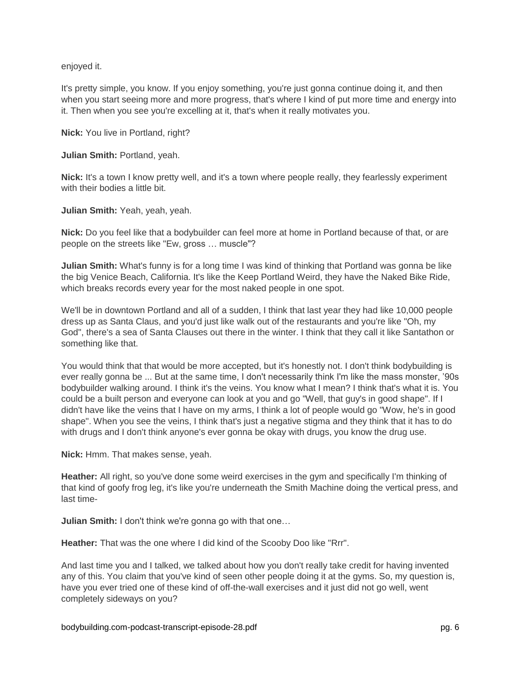enjoyed it.

It's pretty simple, you know. If you enjoy something, you're just gonna continue doing it, and then when you start seeing more and more progress, that's where I kind of put more time and energy into it. Then when you see you're excelling at it, that's when it really motivates you.

**Nick:** You live in Portland, right?

**Julian Smith:** Portland, yeah.

**Nick:** It's a town I know pretty well, and it's a town where people really, they fearlessly experiment with their bodies a little bit.

**Julian Smith:** Yeah, yeah, yeah.

**Nick:** Do you feel like that a bodybuilder can feel more at home in Portland because of that, or are people on the streets like "Ew, gross … muscle"?

**Julian Smith:** What's funny is for a long time I was kind of thinking that Portland was gonna be like the big Venice Beach, California. It's like the Keep Portland Weird, they have the Naked Bike Ride, which breaks records every year for the most naked people in one spot.

We'll be in downtown Portland and all of a sudden, I think that last year they had like 10,000 people dress up as Santa Claus, and you'd just like walk out of the restaurants and you're like "Oh, my God", there's a sea of Santa Clauses out there in the winter. I think that they call it like Santathon or something like that.

You would think that that would be more accepted, but it's honestly not. I don't think bodybuilding is ever really gonna be ... But at the same time, I don't necessarily think I'm like the mass monster, '90s bodybuilder walking around. I think it's the veins. You know what I mean? I think that's what it is. You could be a built person and everyone can look at you and go "Well, that guy's in good shape". If I didn't have like the veins that I have on my arms, I think a lot of people would go "Wow, he's in good shape". When you see the veins, I think that's just a negative stigma and they think that it has to do with drugs and I don't think anyone's ever gonna be okay with drugs, you know the drug use.

**Nick:** Hmm. That makes sense, yeah.

**Heather:** All right, so you've done some weird exercises in the gym and specifically I'm thinking of that kind of goofy frog leg, it's like you're underneath the Smith Machine doing the vertical press, and last time-

**Julian Smith:** I don't think we're gonna go with that one...

**Heather:** That was the one where I did kind of the Scooby Doo like "Rrr".

And last time you and I talked, we talked about how you don't really take credit for having invented any of this. You claim that you've kind of seen other people doing it at the gyms. So, my question is, have you ever tried one of these kind of off-the-wall exercises and it just did not go well, went completely sideways on you?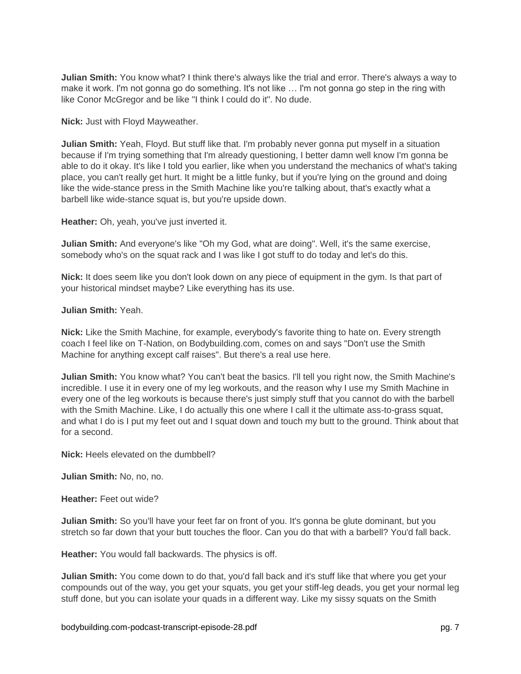**Julian Smith:** You know what? I think there's always like the trial and error. There's always a way to make it work. I'm not gonna go do something. It's not like … I'm not gonna go step in the ring with like Conor McGregor and be like "I think I could do it". No dude.

**Nick:** Just with Floyd Mayweather.

**Julian Smith:** Yeah, Floyd. But stuff like that. I'm probably never gonna put myself in a situation because if I'm trying something that I'm already questioning, I better damn well know I'm gonna be able to do it okay. It's like I told you earlier, like when you understand the mechanics of what's taking place, you can't really get hurt. It might be a little funky, but if you're lying on the ground and doing like the wide-stance press in the Smith Machine like you're talking about, that's exactly what a barbell like wide-stance squat is, but you're upside down.

**Heather:** Oh, yeah, you've just inverted it.

**Julian Smith:** And everyone's like "Oh my God, what are doing". Well, it's the same exercise, somebody who's on the squat rack and I was like I got stuff to do today and let's do this.

**Nick:** It does seem like you don't look down on any piece of equipment in the gym. Is that part of your historical mindset maybe? Like everything has its use.

**Julian Smith:** Yeah.

**Nick:** Like the Smith Machine, for example, everybody's favorite thing to hate on. Every strength coach I feel like on T-Nation, on Bodybuilding.com, comes on and says "Don't use the Smith Machine for anything except calf raises". But there's a real use here.

**Julian Smith:** You know what? You can't beat the basics. I'll tell you right now, the Smith Machine's incredible. I use it in every one of my leg workouts, and the reason why I use my Smith Machine in every one of the leg workouts is because there's just simply stuff that you cannot do with the barbell with the Smith Machine. Like, I do actually this one where I call it the ultimate ass-to-grass squat, and what I do is I put my feet out and I squat down and touch my butt to the ground. Think about that for a second.

**Nick:** Heels elevated on the dumbbell?

**Julian Smith:** No, no, no.

**Heather:** Feet out wide?

**Julian Smith:** So you'll have your feet far on front of you. It's gonna be glute dominant, but you stretch so far down that your butt touches the floor. Can you do that with a barbell? You'd fall back.

**Heather:** You would fall backwards. The physics is off.

**Julian Smith:** You come down to do that, you'd fall back and it's stuff like that where you get your compounds out of the way, you get your squats, you get your stiff-leg deads, you get your normal leg stuff done, but you can isolate your quads in a different way. Like my sissy squats on the Smith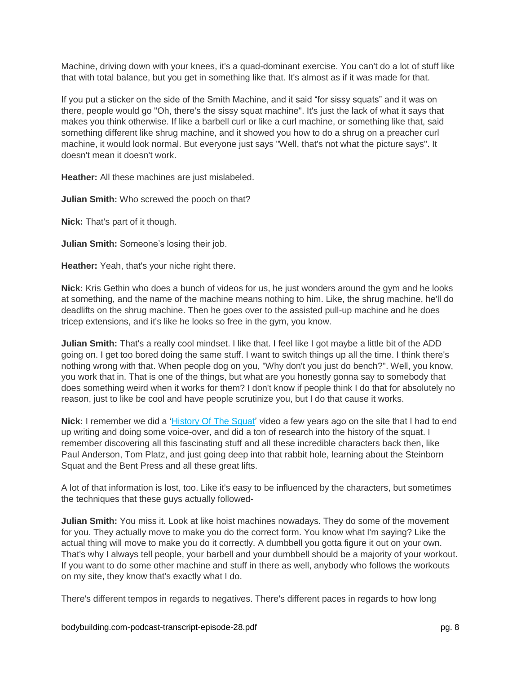Machine, driving down with your knees, it's a quad-dominant exercise. You can't do a lot of stuff like that with total balance, but you get in something like that. It's almost as if it was made for that.

If you put a sticker on the side of the Smith Machine, and it said "for sissy squats" and it was on there, people would go "Oh, there's the sissy squat machine". It's just the lack of what it says that makes you think otherwise. If like a barbell curl or like a curl machine, or something like that, said something different like shrug machine, and it showed you how to do a shrug on a preacher curl machine, it would look normal. But everyone just says "Well, that's not what the picture says". It doesn't mean it doesn't work.

**Heather:** All these machines are just mislabeled.

**Julian Smith:** Who screwed the pooch on that?

**Nick:** That's part of it though.

**Julian Smith:** Someone's losing their job.

**Heather:** Yeah, that's your niche right there.

**Nick:** Kris Gethin who does a bunch of videos for us, he just wonders around the gym and he looks at something, and the name of the machine means nothing to him. Like, the shrug machine, he'll do deadlifts on the shrug machine. Then he goes over to the assisted pull-up machine and he does tricep extensions, and it's like he looks so free in the gym, you know.

**Julian Smith:** That's a really cool mindset. I like that. I feel like I got maybe a little bit of the ADD going on. I get too bored doing the same stuff. I want to switch things up all the time. I think there's nothing wrong with that. When people dog on you, "Why don't you just do bench?". Well, you know, you work that in. That is one of the things, but what are you honestly gonna say to somebody that does something weird when it works for them? I don't know if people think I do that for absolutely no reason, just to like be cool and have people scrutinize you, but I do that cause it works.

Nick: I remember we did a ['History Of The Squat'](https://www.bodybuilding.com/fun/squat-every-day-the-history-of-the-squat.html) video a few years ago on the site that I had to end up writing and doing some voice-over, and did a ton of research into the history of the squat. I remember discovering all this fascinating stuff and all these incredible characters back then, like Paul Anderson, Tom Platz, and just going deep into that rabbit hole, learning about the Steinborn Squat and the Bent Press and all these great lifts.

A lot of that information is lost, too. Like it's easy to be influenced by the characters, but sometimes the techniques that these guys actually followed-

**Julian Smith:** You miss it. Look at like hoist machines nowadays. They do some of the movement for you. They actually move to make you do the correct form. You know what I'm saying? Like the actual thing will move to make you do it correctly. A dumbbell you gotta figure it out on your own. That's why I always tell people, your barbell and your dumbbell should be a majority of your workout. If you want to do some other machine and stuff in there as well, anybody who follows the workouts on my site, they know that's exactly what I do.

There's different tempos in regards to negatives. There's different paces in regards to how long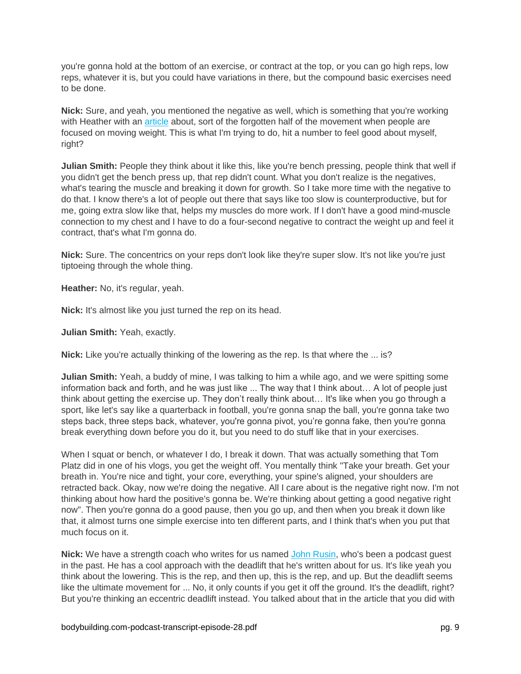you're gonna hold at the bottom of an exercise, or contract at the top, or you can go high reps, low reps, whatever it is, but you could have variations in there, but the compound basic exercises need to be done.

**Nick:** Sure, and yeah, you mentioned the negative as well, which is something that you're working with Heather with an [article](https://www.bodybuilding.com/content/youre-not-doing-slow-negatives-on-these-moves-you-should-be.html) about, sort of the forgotten half of the movement when people are focused on moving weight. This is what I'm trying to do, hit a number to feel good about myself, right?

**Julian Smith:** People they think about it like this, like you're bench pressing, people think that well if you didn't get the bench press up, that rep didn't count. What you don't realize is the negatives, what's tearing the muscle and breaking it down for growth. So I take more time with the negative to do that. I know there's a lot of people out there that says like too slow is counterproductive, but for me, going extra slow like that, helps my muscles do more work. If I don't have a good mind-muscle connection to my chest and I have to do a four-second negative to contract the weight up and feel it contract, that's what I'm gonna do.

**Nick:** Sure. The concentrics on your reps don't look like they're super slow. It's not like you're just tiptoeing through the whole thing.

**Heather:** No, it's regular, yeah.

**Nick:** It's almost like you just turned the rep on its head.

**Julian Smith:** Yeah, exactly.

**Nick:** Like you're actually thinking of the lowering as the rep. Is that where the ... is?

**Julian Smith:** Yeah, a buddy of mine, I was talking to him a while ago, and we were spitting some information back and forth, and he was just like ... The way that I think about… A lot of people just think about getting the exercise up. They don't really think about… It's like when you go through a sport, like let's say like a quarterback in football, you're gonna snap the ball, you're gonna take two steps back, three steps back, whatever, you're gonna pivot, you're gonna fake, then you're gonna break everything down before you do it, but you need to do stuff like that in your exercises.

When I squat or bench, or whatever I do, I break it down. That was actually something that Tom Platz did in one of his vlogs, you get the weight off. You mentally think "Take your breath. Get your breath in. You're nice and tight, your core, everything, your spine's aligned, your shoulders are retracted back. Okay, now we're doing the negative. All I care about is the negative right now. I'm not thinking about how hard the positive's gonna be. We're thinking about getting a good negative right now". Then you're gonna do a good pause, then you go up, and then when you break it down like that, it almost turns one simple exercise into ten different parts, and I think that's when you put that much focus on it.

**Nick:** We have a strength coach who writes for us named [John Rusin,](https://www.bodybuilding.com/fun/podcast-episode-19-how-to-earn-your-best-ever-back-squat.html) who's been a podcast guest in the past. He has a cool approach with the deadlift that he's written about for us. It's like yeah you think about the lowering. This is the rep, and then up, this is the rep, and up. But the deadlift seems like the ultimate movement for ... No, it only counts if you get it off the ground. It's the deadlift, right? But you're thinking an eccentric deadlift instead. You talked about that in the article that you did with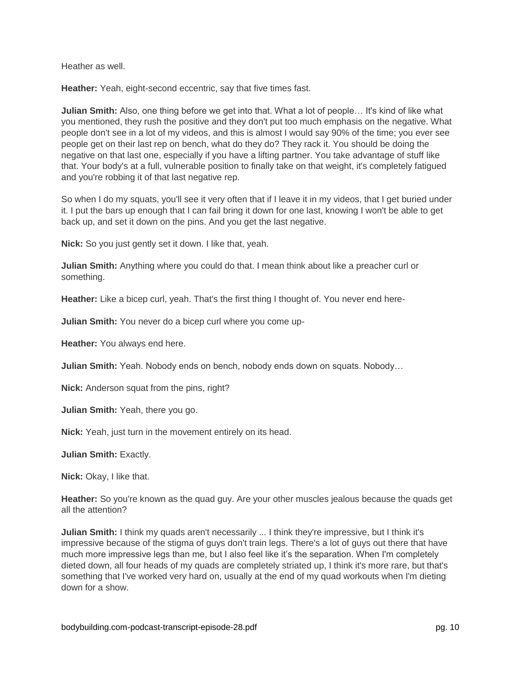Heather as well.

**Heather:** Yeah, eight-second eccentric, say that five times fast.

**Julian Smith:** Also, one thing before we get into that. What a lot of people… It's kind of like what you mentioned, they rush the positive and they don't put too much emphasis on the negative. What people don't see in a lot of my videos, and this is almost I would say 90% of the time; you ever see people get on their last rep on bench, what do they do? They rack it. You should be doing the negative on that last one, especially if you have a lifting partner. You take advantage of stuff like that. Your body's at a full, vulnerable position to finally take on that weight, it's completely fatigued and you're robbing it of that last negative rep.

So when I do my squats, you'll see it very often that if I leave it in my videos, that I get buried under it. I put the bars up enough that I can fail bring it down for one last, knowing I won't be able to get back up, and set it down on the pins. And you get the last negative.

**Nick:** So you just gently set it down. I like that, yeah.

**Julian Smith:** Anything where you could do that. I mean think about like a preacher curl or something.

**Heather:** Like a bicep curl, yeah. That's the first thing I thought of. You never end here-

**Julian Smith:** You never do a bicep curl where you come up-

**Heather:** You always end here.

**Julian Smith:** Yeah. Nobody ends on bench, nobody ends down on squats. Nobody…

**Nick:** Anderson squat from the pins, right?

**Julian Smith:** Yeah, there you go.

**Nick:** Yeah, just turn in the movement entirely on its head.

**Julian Smith:** Exactly.

**Nick:** Okay, I like that.

**Heather:** So you're known as the quad guy. Are your other muscles jealous because the quads get all the attention?

**Julian Smith:** I think my quads aren't necessarily ... I think they're impressive, but I think it's impressive because of the stigma of guys don't train legs. There's a lot of guys out there that have much more impressive legs than me, but I also feel like it's the separation. When I'm completely dieted down, all four heads of my quads are completely striated up, I think it's more rare, but that's something that I've worked very hard on, usually at the end of my quad workouts when I'm dieting down for a show.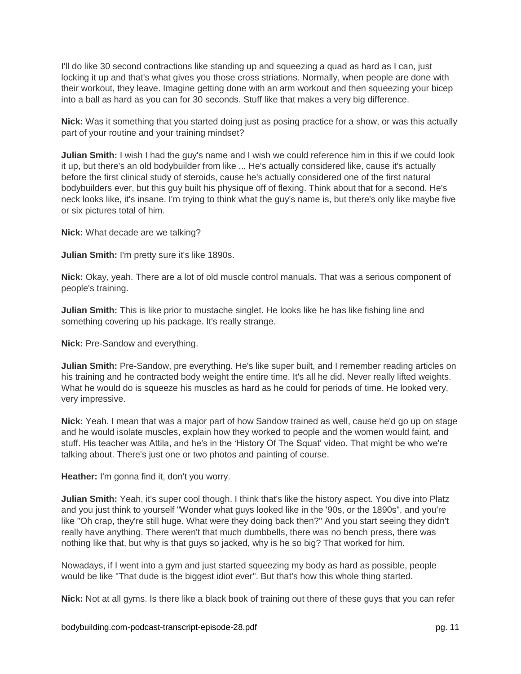I'll do like 30 second contractions like standing up and squeezing a quad as hard as I can, just locking it up and that's what gives you those cross striations. Normally, when people are done with their workout, they leave. Imagine getting done with an arm workout and then squeezing your bicep into a ball as hard as you can for 30 seconds. Stuff like that makes a very big difference.

**Nick:** Was it something that you started doing just as posing practice for a show, or was this actually part of your routine and your training mindset?

**Julian Smith:** I wish I had the guy's name and I wish we could reference him in this if we could look it up, but there's an old bodybuilder from like ... He's actually considered like, cause it's actually before the first clinical study of steroids, cause he's actually considered one of the first natural bodybuilders ever, but this guy built his physique off of flexing. Think about that for a second. He's neck looks like, it's insane. I'm trying to think what the guy's name is, but there's only like maybe five or six pictures total of him.

**Nick:** What decade are we talking?

**Julian Smith:** I'm pretty sure it's like 1890s.

**Nick:** Okay, yeah. There are a lot of old muscle control manuals. That was a serious component of people's training.

**Julian Smith:** This is like prior to mustache singlet. He looks like he has like fishing line and something covering up his package. It's really strange.

**Nick:** Pre-Sandow and everything.

**Julian Smith:** Pre-Sandow, pre everything. He's like super built, and I remember reading articles on his training and he contracted body weight the entire time. It's all he did. Never really lifted weights. What he would do is squeeze his muscles as hard as he could for periods of time. He looked very, very impressive.

**Nick:** Yeah. I mean that was a major part of how Sandow trained as well, cause he'd go up on stage and he would isolate muscles, explain how they worked to people and the women would faint, and stuff. His teacher was Attila, and he's in the 'History Of The Squat' video. That might be who we're talking about. There's just one or two photos and painting of course.

**Heather:** I'm gonna find it, don't you worry.

**Julian Smith:** Yeah, it's super cool though. I think that's like the history aspect. You dive into Platz and you just think to yourself "Wonder what guys looked like in the '90s, or the 1890s", and you're like "Oh crap, they're still huge. What were they doing back then?" And you start seeing they didn't really have anything. There weren't that much dumbbells, there was no bench press, there was nothing like that, but why is that guys so jacked, why is he so big? That worked for him.

Nowadays, if I went into a gym and just started squeezing my body as hard as possible, people would be like "That dude is the biggest idiot ever". But that's how this whole thing started.

**Nick:** Not at all gyms. Is there like a black book of training out there of these guys that you can refer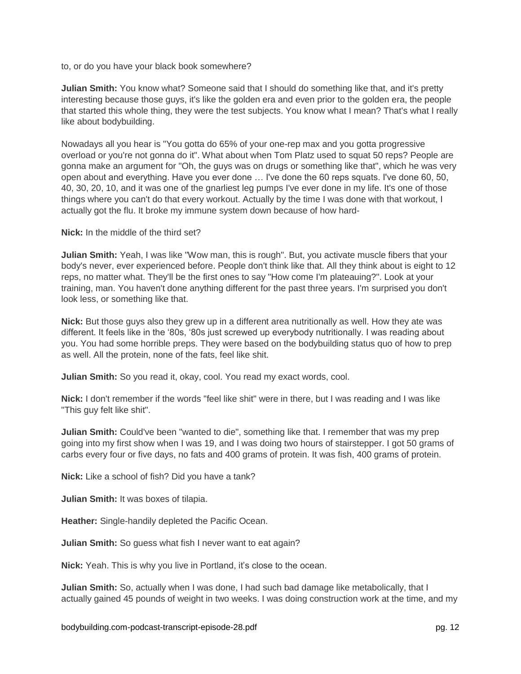to, or do you have your black book somewhere?

**Julian Smith:** You know what? Someone said that I should do something like that, and it's pretty interesting because those guys, it's like the golden era and even prior to the golden era, the people that started this whole thing, they were the test subjects. You know what I mean? That's what I really like about bodybuilding.

Nowadays all you hear is "You gotta do 65% of your one-rep max and you gotta progressive overload or you're not gonna do it". What about when Tom Platz used to squat 50 reps? People are gonna make an argument for "Oh, the guys was on drugs or something like that", which he was very open about and everything. Have you ever done … I've done the 60 reps squats. I've done 60, 50, 40, 30, 20, 10, and it was one of the gnarliest leg pumps I've ever done in my life. It's one of those things where you can't do that every workout. Actually by the time I was done with that workout, I actually got the flu. It broke my immune system down because of how hard-

**Nick:** In the middle of the third set?

**Julian Smith:** Yeah, I was like "Wow man, this is rough". But, you activate muscle fibers that your body's never, ever experienced before. People don't think like that. All they think about is eight to 12 reps, no matter what. They'll be the first ones to say "How come I'm plateauing?". Look at your training, man. You haven't done anything different for the past three years. I'm surprised you don't look less, or something like that.

**Nick:** But those guys also they grew up in a different area nutritionally as well. How they ate was different. It feels like in the '80s, '80s just screwed up everybody nutritionally. I was reading about you. You had some horrible preps. They were based on the bodybuilding status quo of how to prep as well. All the protein, none of the fats, feel like shit.

**Julian Smith:** So you read it, okay, cool. You read my exact words, cool.

**Nick:** I don't remember if the words "feel like shit" were in there, but I was reading and I was like "This guy felt like shit".

**Julian Smith:** Could've been "wanted to die", something like that. I remember that was my prep going into my first show when I was 19, and I was doing two hours of stairstepper. I got 50 grams of carbs every four or five days, no fats and 400 grams of protein. It was fish, 400 grams of protein.

**Nick:** Like a school of fish? Did you have a tank?

**Julian Smith:** It was boxes of tilapia.

**Heather:** Single-handily depleted the Pacific Ocean.

**Julian Smith:** So guess what fish I never want to eat again?

**Nick:** Yeah. This is why you live in Portland, it's close to the ocean.

**Julian Smith:** So, actually when I was done, I had such bad damage like metabolically, that I actually gained 45 pounds of weight in two weeks. I was doing construction work at the time, and my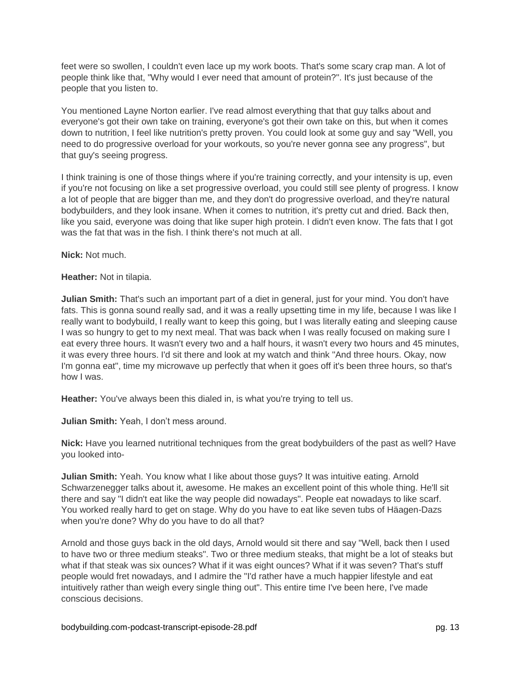feet were so swollen, I couldn't even lace up my work boots. That's some scary crap man. A lot of people think like that, "Why would I ever need that amount of protein?". It's just because of the people that you listen to.

You mentioned Layne Norton earlier. I've read almost everything that that guy talks about and everyone's got their own take on training, everyone's got their own take on this, but when it comes down to nutrition, I feel like nutrition's pretty proven. You could look at some guy and say "Well, you need to do progressive overload for your workouts, so you're never gonna see any progress", but that guy's seeing progress.

I think training is one of those things where if you're training correctly, and your intensity is up, even if you're not focusing on like a set progressive overload, you could still see plenty of progress. I know a lot of people that are bigger than me, and they don't do progressive overload, and they're natural bodybuilders, and they look insane. When it comes to nutrition, it's pretty cut and dried. Back then, like you said, everyone was doing that like super high protein. I didn't even know. The fats that I got was the fat that was in the fish. I think there's not much at all.

**Nick:** Not much.

**Heather:** Not in tilapia.

**Julian Smith:** That's such an important part of a diet in general, just for your mind. You don't have fats. This is gonna sound really sad, and it was a really upsetting time in my life, because I was like I really want to bodybuild, I really want to keep this going, but I was literally eating and sleeping cause I was so hungry to get to my next meal. That was back when I was really focused on making sure I eat every three hours. It wasn't every two and a half hours, it wasn't every two hours and 45 minutes, it was every three hours. I'd sit there and look at my watch and think "And three hours. Okay, now I'm gonna eat", time my microwave up perfectly that when it goes off it's been three hours, so that's how I was.

**Heather:** You've always been this dialed in, is what you're trying to tell us.

**Julian Smith:** Yeah, I don't mess around.

**Nick:** Have you learned nutritional techniques from the great bodybuilders of the past as well? Have you looked into-

**Julian Smith:** Yeah. You know what I like about those guys? It was intuitive eating. Arnold Schwarzenegger talks about it, awesome. He makes an excellent point of this whole thing. He'll sit there and say "I didn't eat like the way people did nowadays". People eat nowadays to like scarf. You worked really hard to get on stage. Why do you have to eat like seven tubs of Häagen-Dazs when you're done? Why do you have to do all that?

Arnold and those guys back in the old days, Arnold would sit there and say "Well, back then I used to have two or three medium steaks". Two or three medium steaks, that might be a lot of steaks but what if that steak was six ounces? What if it was eight ounces? What if it was seven? That's stuff people would fret nowadays, and I admire the "I'd rather have a much happier lifestyle and eat intuitively rather than weigh every single thing out". This entire time I've been here, I've made conscious decisions.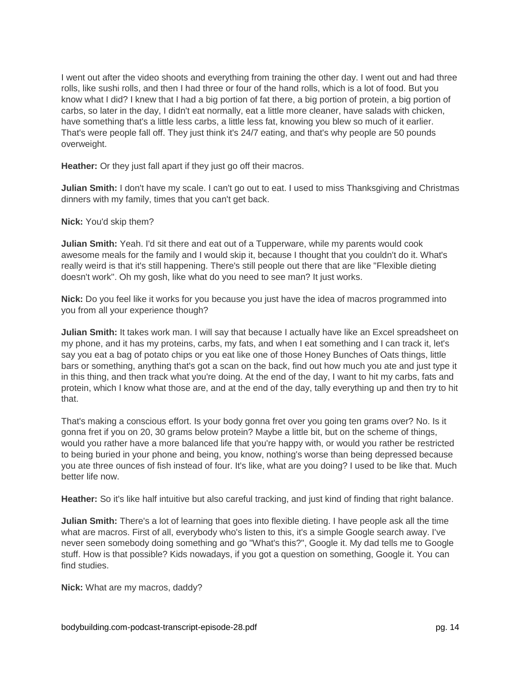I went out after the video shoots and everything from training the other day. I went out and had three rolls, like sushi rolls, and then I had three or four of the hand rolls, which is a lot of food. But you know what I did? I knew that I had a big portion of fat there, a big portion of protein, a big portion of carbs, so later in the day, I didn't eat normally, eat a little more cleaner, have salads with chicken, have something that's a little less carbs, a little less fat, knowing you blew so much of it earlier. That's were people fall off. They just think it's 24/7 eating, and that's why people are 50 pounds overweight.

**Heather:** Or they just fall apart if they just go off their macros.

**Julian Smith:** I don't have my scale. I can't go out to eat. I used to miss Thanksgiving and Christmas dinners with my family, times that you can't get back.

**Nick:** You'd skip them?

**Julian Smith:** Yeah. I'd sit there and eat out of a Tupperware, while my parents would cook awesome meals for the family and I would skip it, because I thought that you couldn't do it. What's really weird is that it's still happening. There's still people out there that are like "Flexible dieting doesn't work". Oh my gosh, like what do you need to see man? It just works.

**Nick:** Do you feel like it works for you because you just have the idea of macros programmed into you from all your experience though?

**Julian Smith:** It takes work man. I will say that because I actually have like an Excel spreadsheet on my phone, and it has my proteins, carbs, my fats, and when I eat something and I can track it, let's say you eat a bag of potato chips or you eat like one of those Honey Bunches of Oats things, little bars or something, anything that's got a scan on the back, find out how much you ate and just type it in this thing, and then track what you're doing. At the end of the day, I want to hit my carbs, fats and protein, which I know what those are, and at the end of the day, tally everything up and then try to hit that.

That's making a conscious effort. Is your body gonna fret over you going ten grams over? No. Is it gonna fret if you on 20, 30 grams below protein? Maybe a little bit, but on the scheme of things, would you rather have a more balanced life that you're happy with, or would you rather be restricted to being buried in your phone and being, you know, nothing's worse than being depressed because you ate three ounces of fish instead of four. It's like, what are you doing? I used to be like that. Much better life now.

**Heather:** So it's like half intuitive but also careful tracking, and just kind of finding that right balance.

**Julian Smith:** There's a lot of learning that goes into flexible dieting. I have people ask all the time what are macros. First of all, everybody who's listen to this, it's a simple Google search away. I've never seen somebody doing something and go "What's this?", Google it. My dad tells me to Google stuff. How is that possible? Kids nowadays, if you got a question on something, Google it. You can find studies.

**Nick:** What are my macros, daddy?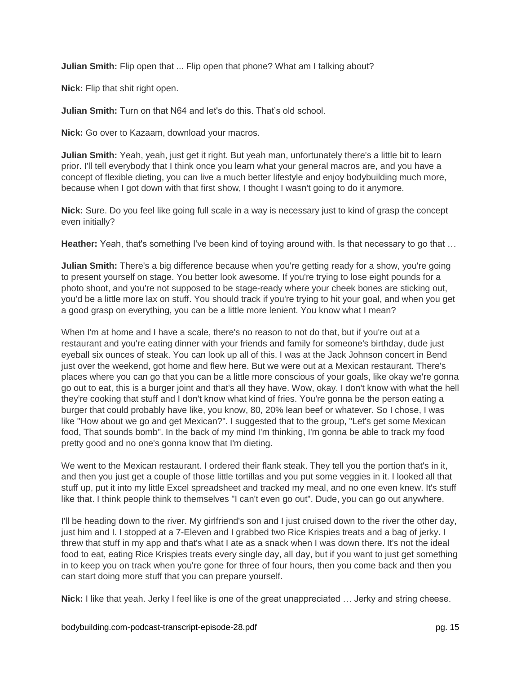**Julian Smith:** Flip open that ... Flip open that phone? What am I talking about?

**Nick:** Flip that shit right open.

**Julian Smith:** Turn on that N64 and let's do this. That's old school.

**Nick:** Go over to Kazaam, download your macros.

**Julian Smith:** Yeah, yeah, just get it right. But yeah man, unfortunately there's a little bit to learn prior. I'll tell everybody that I think once you learn what your general macros are, and you have a concept of flexible dieting, you can live a much better lifestyle and enjoy bodybuilding much more, because when I got down with that first show, I thought I wasn't going to do it anymore.

**Nick:** Sure. Do you feel like going full scale in a way is necessary just to kind of grasp the concept even initially?

**Heather:** Yeah, that's something I've been kind of toying around with. Is that necessary to go that ...

**Julian Smith:** There's a big difference because when you're getting ready for a show, you're going to present yourself on stage. You better look awesome. If you're trying to lose eight pounds for a photo shoot, and you're not supposed to be stage-ready where your cheek bones are sticking out, you'd be a little more lax on stuff. You should track if you're trying to hit your goal, and when you get a good grasp on everything, you can be a little more lenient. You know what I mean?

When I'm at home and I have a scale, there's no reason to not do that, but if you're out at a restaurant and you're eating dinner with your friends and family for someone's birthday, dude just eyeball six ounces of steak. You can look up all of this. I was at the Jack Johnson concert in Bend just over the weekend, got home and flew here. But we were out at a Mexican restaurant. There's places where you can go that you can be a little more conscious of your goals, like okay we're gonna go out to eat, this is a burger joint and that's all they have. Wow, okay. I don't know with what the hell they're cooking that stuff and I don't know what kind of fries. You're gonna be the person eating a burger that could probably have like, you know, 80, 20% lean beef or whatever. So I chose, I was like "How about we go and get Mexican?". I suggested that to the group, "Let's get some Mexican food, That sounds bomb". In the back of my mind I'm thinking, I'm gonna be able to track my food pretty good and no one's gonna know that I'm dieting.

We went to the Mexican restaurant. I ordered their flank steak. They tell you the portion that's in it, and then you just get a couple of those little tortillas and you put some veggies in it. I looked all that stuff up, put it into my little Excel spreadsheet and tracked my meal, and no one even knew. It's stuff like that. I think people think to themselves "I can't even go out". Dude, you can go out anywhere.

I'll be heading down to the river. My girlfriend's son and I just cruised down to the river the other day, just him and I. I stopped at a 7-Eleven and I grabbed two Rice Krispies treats and a bag of jerky. I threw that stuff in my app and that's what I ate as a snack when I was down there. It's not the ideal food to eat, eating Rice Krispies treats every single day, all day, but if you want to just get something in to keep you on track when you're gone for three of four hours, then you come back and then you can start doing more stuff that you can prepare yourself.

**Nick:** I like that yeah. Jerky I feel like is one of the great unappreciated … Jerky and string cheese.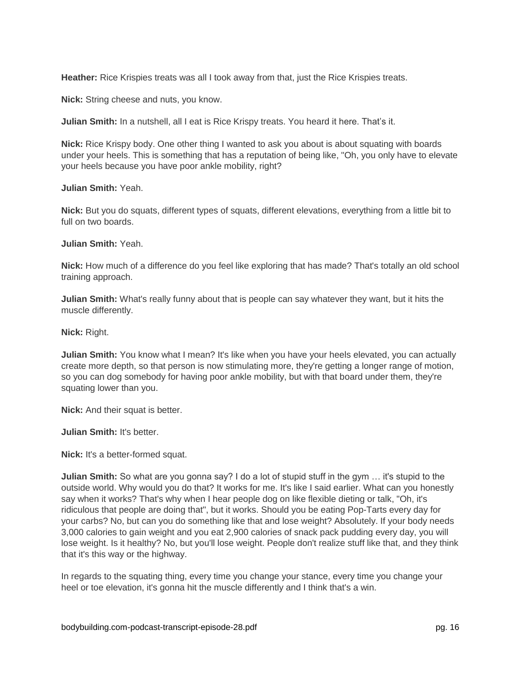**Heather:** Rice Krispies treats was all I took away from that, just the Rice Krispies treats.

**Nick:** String cheese and nuts, you know.

Julian Smith: In a nutshell, all I eat is Rice Krispy treats. You heard it here. That's it.

**Nick:** Rice Krispy body. One other thing I wanted to ask you about is about squating with boards under your heels. This is something that has a reputation of being like, "Oh, you only have to elevate your heels because you have poor ankle mobility, right?

**Julian Smith:** Yeah.

**Nick:** But you do squats, different types of squats, different elevations, everything from a little bit to full on two boards.

**Julian Smith:** Yeah.

**Nick:** How much of a difference do you feel like exploring that has made? That's totally an old school training approach.

**Julian Smith:** What's really funny about that is people can say whatever they want, but it hits the muscle differently.

**Nick:** Right.

**Julian Smith:** You know what I mean? It's like when you have your heels elevated, you can actually create more depth, so that person is now stimulating more, they're getting a longer range of motion, so you can dog somebody for having poor ankle mobility, but with that board under them, they're squating lower than you.

**Nick:** And their squat is better.

**Julian Smith:** It's better.

**Nick:** It's a better-formed squat.

**Julian Smith:** So what are you gonna say? I do a lot of stupid stuff in the gym … it's stupid to the outside world. Why would you do that? It works for me. It's like I said earlier. What can you honestly say when it works? That's why when I hear people dog on like flexible dieting or talk, "Oh, it's ridiculous that people are doing that", but it works. Should you be eating Pop-Tarts every day for your carbs? No, but can you do something like that and lose weight? Absolutely. If your body needs 3,000 calories to gain weight and you eat 2,900 calories of snack pack pudding every day, you will lose weight. Is it healthy? No, but you'll lose weight. People don't realize stuff like that, and they think that it's this way or the highway.

In regards to the squating thing, every time you change your stance, every time you change your heel or toe elevation, it's gonna hit the muscle differently and I think that's a win.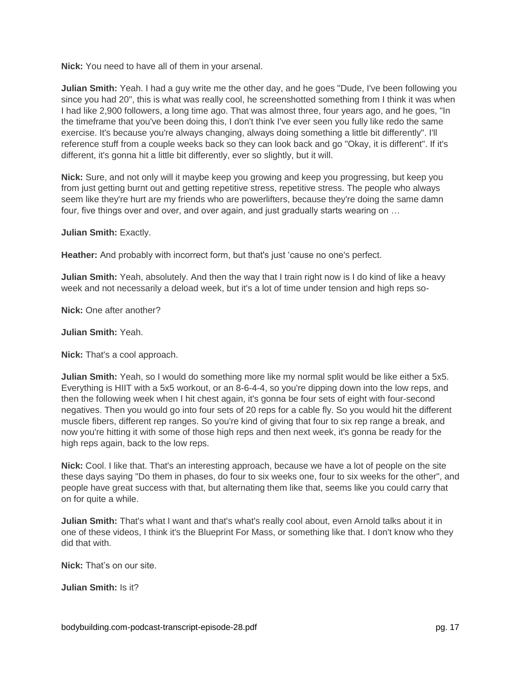**Nick:** You need to have all of them in your arsenal.

**Julian Smith:** Yeah. I had a guy write me the other day, and he goes "Dude, I've been following you since you had 20", this is what was really cool, he screenshotted something from I think it was when I had like 2,900 followers, a long time ago. That was almost three, four years ago, and he goes, "In the timeframe that you've been doing this, I don't think I've ever seen you fully like redo the same exercise. It's because you're always changing, always doing something a little bit differently". I'll reference stuff from a couple weeks back so they can look back and go "Okay, it is different". If it's different, it's gonna hit a little bit differently, ever so slightly, but it will.

**Nick:** Sure, and not only will it maybe keep you growing and keep you progressing, but keep you from just getting burnt out and getting repetitive stress, repetitive stress. The people who always seem like they're hurt are my friends who are powerlifters, because they're doing the same damn four, five things over and over, and over again, and just gradually starts wearing on …

**Julian Smith:** Exactly.

**Heather:** And probably with incorrect form, but that's just 'cause no one's perfect.

**Julian Smith:** Yeah, absolutely. And then the way that I train right now is I do kind of like a heavy week and not necessarily a deload week, but it's a lot of time under tension and high reps so-

**Nick:** One after another?

**Julian Smith:** Yeah.

**Nick:** That's a cool approach.

**Julian Smith:** Yeah, so I would do something more like my normal split would be like either a 5x5. Everything is HIIT with a 5x5 workout, or an 8-6-4-4, so you're dipping down into the low reps, and then the following week when I hit chest again, it's gonna be four sets of eight with four-second negatives. Then you would go into four sets of 20 reps for a cable fly. So you would hit the different muscle fibers, different rep ranges. So you're kind of giving that four to six rep range a break, and now you're hitting it with some of those high reps and then next week, it's gonna be ready for the high reps again, back to the low reps.

**Nick:** Cool. I like that. That's an interesting approach, because we have a lot of people on the site these days saying "Do them in phases, do four to six weeks one, four to six weeks for the other", and people have great success with that, but alternating them like that, seems like you could carry that on for quite a while.

**Julian Smith:** That's what I want and that's what's really cool about, even Arnold talks about it in one of these videos, I think it's the Blueprint For Mass, or something like that. I don't know who they did that with.

**Nick:** That's on our site.

**Julian Smith:** Is it?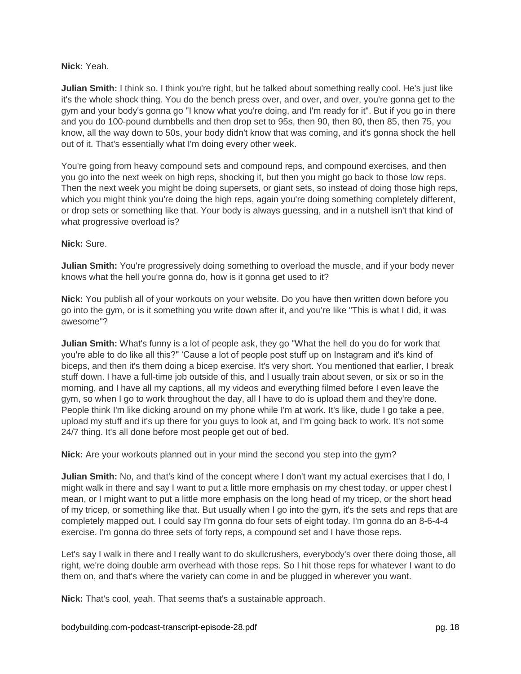#### **Nick:** Yeah.

**Julian Smith:** I think so. I think you're right, but he talked about something really cool. He's just like it's the whole shock thing. You do the bench press over, and over, and over, you're gonna get to the gym and your body's gonna go "I know what you're doing, and I'm ready for it". But if you go in there and you do 100-pound dumbbells and then drop set to 95s, then 90, then 80, then 85, then 75, you know, all the way down to 50s, your body didn't know that was coming, and it's gonna shock the hell out of it. That's essentially what I'm doing every other week.

You're going from heavy compound sets and compound reps, and compound exercises, and then you go into the next week on high reps, shocking it, but then you might go back to those low reps. Then the next week you might be doing supersets, or giant sets, so instead of doing those high reps, which you might think you're doing the high reps, again you're doing something completely different, or drop sets or something like that. Your body is always guessing, and in a nutshell isn't that kind of what progressive overload is?

### **Nick:** Sure.

**Julian Smith:** You're progressively doing something to overload the muscle, and if your body never knows what the hell you're gonna do, how is it gonna get used to it?

**Nick:** You publish all of your workouts on your website. Do you have then written down before you go into the gym, or is it something you write down after it, and you're like "This is what I did, it was awesome"?

**Julian Smith:** What's funny is a lot of people ask, they go "What the hell do you do for work that you're able to do like all this?" 'Cause a lot of people post stuff up on Instagram and it's kind of biceps, and then it's them doing a bicep exercise. It's very short. You mentioned that earlier, I break stuff down. I have a full-time job outside of this, and I usually train about seven, or six or so in the morning, and I have all my captions, all my videos and everything filmed before I even leave the gym, so when I go to work throughout the day, all I have to do is upload them and they're done. People think I'm like dicking around on my phone while I'm at work. It's like, dude I go take a pee, upload my stuff and it's up there for you guys to look at, and I'm going back to work. It's not some 24/7 thing. It's all done before most people get out of bed.

**Nick:** Are your workouts planned out in your mind the second you step into the gym?

**Julian Smith:** No, and that's kind of the concept where I don't want my actual exercises that I do, I might walk in there and say I want to put a little more emphasis on my chest today, or upper chest I mean, or I might want to put a little more emphasis on the long head of my tricep, or the short head of my tricep, or something like that. But usually when I go into the gym, it's the sets and reps that are completely mapped out. I could say I'm gonna do four sets of eight today. I'm gonna do an 8-6-4-4 exercise. I'm gonna do three sets of forty reps, a compound set and I have those reps.

Let's say I walk in there and I really want to do skullcrushers, everybody's over there doing those, all right, we're doing double arm overhead with those reps. So I hit those reps for whatever I want to do them on, and that's where the variety can come in and be plugged in wherever you want.

**Nick:** That's cool, yeah. That seems that's a sustainable approach.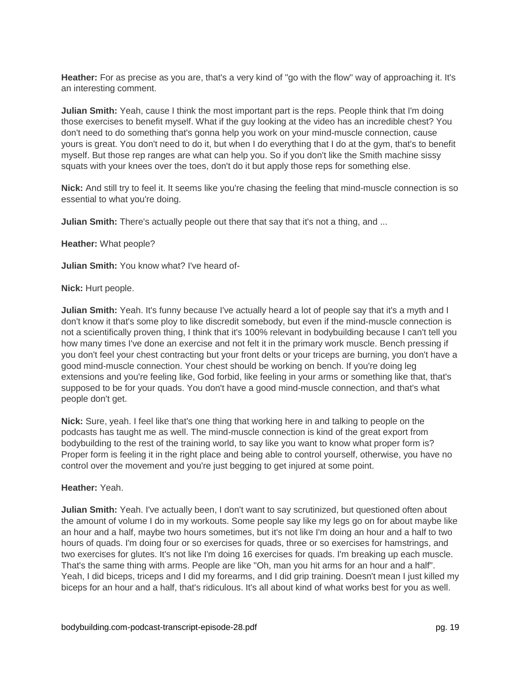**Heather:** For as precise as you are, that's a very kind of "go with the flow" way of approaching it. It's an interesting comment.

**Julian Smith:** Yeah, cause I think the most important part is the reps. People think that I'm doing those exercises to benefit myself. What if the guy looking at the video has an incredible chest? You don't need to do something that's gonna help you work on your mind-muscle connection, cause yours is great. You don't need to do it, but when I do everything that I do at the gym, that's to benefit myself. But those rep ranges are what can help you. So if you don't like the Smith machine sissy squats with your knees over the toes, don't do it but apply those reps for something else.

**Nick:** And still try to feel it. It seems like you're chasing the feeling that mind-muscle connection is so essential to what you're doing.

**Julian Smith:** There's actually people out there that say that it's not a thing, and ...

**Heather:** What people?

**Julian Smith:** You know what? I've heard of-

**Nick:** Hurt people.

**Julian Smith:** Yeah. It's funny because I've actually heard a lot of people say that it's a myth and I don't know it that's some ploy to like discredit somebody, but even if the mind-muscle connection is not a scientifically proven thing, I think that it's 100% relevant in bodybuilding because I can't tell you how many times I've done an exercise and not felt it in the primary work muscle. Bench pressing if you don't feel your chest contracting but your front delts or your triceps are burning, you don't have a good mind-muscle connection. Your chest should be working on bench. If you're doing leg extensions and you're feeling like, God forbid, like feeling in your arms or something like that, that's supposed to be for your quads. You don't have a good mind-muscle connection, and that's what people don't get.

**Nick:** Sure, yeah. I feel like that's one thing that working here in and talking to people on the podcasts has taught me as well. The mind-muscle connection is kind of the great export from bodybuilding to the rest of the training world, to say like you want to know what proper form is? Proper form is feeling it in the right place and being able to control yourself, otherwise, you have no control over the movement and you're just begging to get injured at some point.

#### **Heather:** Yeah.

**Julian Smith:** Yeah. I've actually been, I don't want to say scrutinized, but questioned often about the amount of volume I do in my workouts. Some people say like my legs go on for about maybe like an hour and a half, maybe two hours sometimes, but it's not like I'm doing an hour and a half to two hours of quads. I'm doing four or so exercises for quads, three or so exercises for hamstrings, and two exercises for glutes. It's not like I'm doing 16 exercises for quads. I'm breaking up each muscle. That's the same thing with arms. People are like "Oh, man you hit arms for an hour and a half". Yeah, I did biceps, triceps and I did my forearms, and I did grip training. Doesn't mean I just killed my biceps for an hour and a half, that's ridiculous. It's all about kind of what works best for you as well.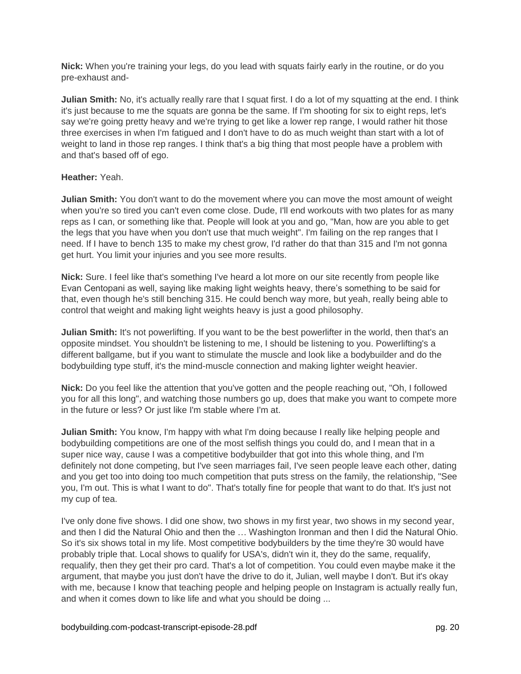**Nick:** When you're training your legs, do you lead with squats fairly early in the routine, or do you pre-exhaust and-

**Julian Smith:** No, it's actually really rare that I squat first. I do a lot of my squatting at the end. I think it's just because to me the squats are gonna be the same. If I'm shooting for six to eight reps, let's say we're going pretty heavy and we're trying to get like a lower rep range, I would rather hit those three exercises in when I'm fatigued and I don't have to do as much weight than start with a lot of weight to land in those rep ranges. I think that's a big thing that most people have a problem with and that's based off of ego.

### **Heather:** Yeah.

**Julian Smith:** You don't want to do the movement where you can move the most amount of weight when you're so tired you can't even come close. Dude, I'll end workouts with two plates for as many reps as I can, or something like that. People will look at you and go, "Man, how are you able to get the legs that you have when you don't use that much weight". I'm failing on the rep ranges that I need. If I have to bench 135 to make my chest grow, I'd rather do that than 315 and I'm not gonna get hurt. You limit your injuries and you see more results.

**Nick:** Sure. I feel like that's something I've heard a lot more on our site recently from people like Evan Centopani as well, saying like making light weights heavy, there's something to be said for that, even though he's still benching 315. He could bench way more, but yeah, really being able to control that weight and making light weights heavy is just a good philosophy.

**Julian Smith:** It's not powerlifting. If you want to be the best powerlifter in the world, then that's an opposite mindset. You shouldn't be listening to me, I should be listening to you. Powerlifting's a different ballgame, but if you want to stimulate the muscle and look like a bodybuilder and do the bodybuilding type stuff, it's the mind-muscle connection and making lighter weight heavier.

**Nick:** Do you feel like the attention that you've gotten and the people reaching out, "Oh, I followed you for all this long", and watching those numbers go up, does that make you want to compete more in the future or less? Or just like I'm stable where I'm at.

**Julian Smith:** You know, I'm happy with what I'm doing because I really like helping people and bodybuilding competitions are one of the most selfish things you could do, and I mean that in a super nice way, cause I was a competitive bodybuilder that got into this whole thing, and I'm definitely not done competing, but I've seen marriages fail, I've seen people leave each other, dating and you get too into doing too much competition that puts stress on the family, the relationship, "See you, I'm out. This is what I want to do". That's totally fine for people that want to do that. It's just not my cup of tea.

I've only done five shows. I did one show, two shows in my first year, two shows in my second year, and then I did the Natural Ohio and then the … Washington Ironman and then I did the Natural Ohio. So it's six shows total in my life. Most competitive bodybuilders by the time they're 30 would have probably triple that. Local shows to qualify for USA's, didn't win it, they do the same, requalify, requalify, then they get their pro card. That's a lot of competition. You could even maybe make it the argument, that maybe you just don't have the drive to do it, Julian, well maybe I don't. But it's okay with me, because I know that teaching people and helping people on Instagram is actually really fun, and when it comes down to like life and what you should be doing ...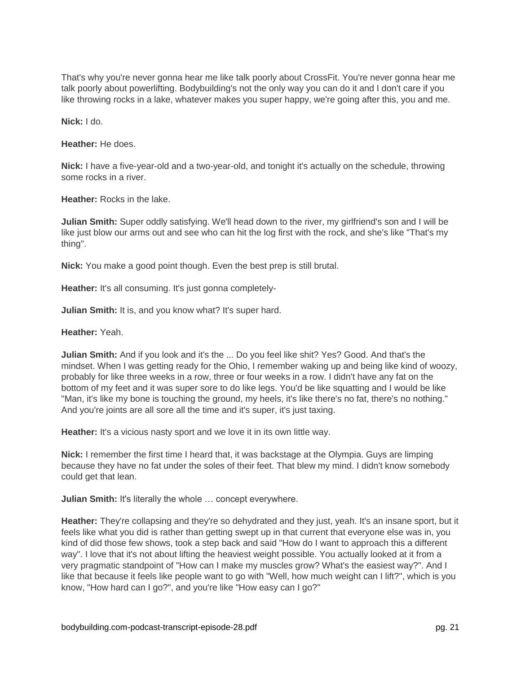That's why you're never gonna hear me like talk poorly about CrossFit. You're never gonna hear me talk poorly about powerlifting. Bodybuilding's not the only way you can do it and I don't care if you like throwing rocks in a lake, whatever makes you super happy, we're going after this, you and me.

**Nick:** I do.

**Heather:** He does.

**Nick:** I have a five-year-old and a two-year-old, and tonight it's actually on the schedule, throwing some rocks in a river.

**Heather:** Rocks in the lake.

**Julian Smith:** Super oddly satisfying. We'll head down to the river, my girlfriend's son and I will be like just blow our arms out and see who can hit the log first with the rock, and she's like "That's my thing".

**Nick:** You make a good point though. Even the best prep is still brutal.

**Heather:** It's all consuming. It's just gonna completely-

**Julian Smith:** It is, and you know what? It's super hard.

**Heather:** Yeah.

**Julian Smith:** And if you look and it's the ... Do you feel like shit? Yes? Good. And that's the mindset. When I was getting ready for the Ohio, I remember waking up and being like kind of woozy, probably for like three weeks in a row, three or four weeks in a row. I didn't have any fat on the bottom of my feet and it was super sore to do like legs. You'd be like squatting and I would be like "Man, it's like my bone is touching the ground, my heels, it's like there's no fat, there's no nothing." And you're joints are all sore all the time and it's super, it's just taxing.

**Heather:** It's a vicious nasty sport and we love it in its own little way.

**Nick:** I remember the first time I heard that, it was backstage at the Olympia. Guys are limping because they have no fat under the soles of their feet. That blew my mind. I didn't know somebody could get that lean.

**Julian Smith:** It's literally the whole ... concept everywhere.

**Heather:** They're collapsing and they're so dehydrated and they just, yeah. It's an insane sport, but it feels like what you did is rather than getting swept up in that current that everyone else was in, you kind of did those few shows, took a step back and said "How do I want to approach this a different way". I love that it's not about lifting the heaviest weight possible. You actually looked at it from a very pragmatic standpoint of "How can I make my muscles grow? What's the easiest way?". And I like that because it feels like people want to go with "Well, how much weight can I lift?", which is you know, "How hard can I go?", and you're like "How easy can I go?"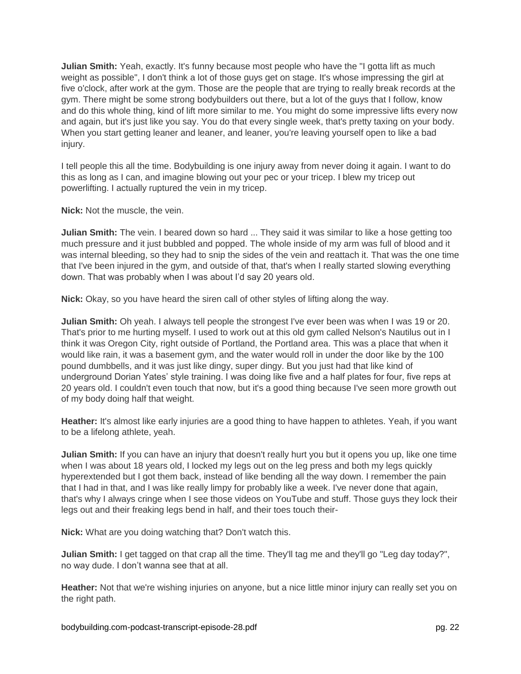**Julian Smith:** Yeah, exactly. It's funny because most people who have the "I gotta lift as much weight as possible", I don't think a lot of those guys get on stage. It's whose impressing the girl at five o'clock, after work at the gym. Those are the people that are trying to really break records at the gym. There might be some strong bodybuilders out there, but a lot of the guys that I follow, know and do this whole thing, kind of lift more similar to me. You might do some impressive lifts every now and again, but it's just like you say. You do that every single week, that's pretty taxing on your body. When you start getting leaner and leaner, and leaner, you're leaving yourself open to like a bad injury.

I tell people this all the time. Bodybuilding is one injury away from never doing it again. I want to do this as long as I can, and imagine blowing out your pec or your tricep. I blew my tricep out powerlifting. I actually ruptured the vein in my tricep.

**Nick:** Not the muscle, the vein.

**Julian Smith:** The vein. I beared down so hard ... They said it was similar to like a hose getting too much pressure and it just bubbled and popped. The whole inside of my arm was full of blood and it was internal bleeding, so they had to snip the sides of the vein and reattach it. That was the one time that I've been injured in the gym, and outside of that, that's when I really started slowing everything down. That was probably when I was about I'd say 20 years old.

**Nick:** Okay, so you have heard the siren call of other styles of lifting along the way.

**Julian Smith:** Oh yeah. I always tell people the strongest I've ever been was when I was 19 or 20. That's prior to me hurting myself. I used to work out at this old gym called Nelson's Nautilus out in I think it was Oregon City, right outside of Portland, the Portland area. This was a place that when it would like rain, it was a basement gym, and the water would roll in under the door like by the 100 pound dumbbells, and it was just like dingy, super dingy. But you just had that like kind of underground Dorian Yates' style training. I was doing like five and a half plates for four, five reps at 20 years old. I couldn't even touch that now, but it's a good thing because I've seen more growth out of my body doing half that weight.

Heather: It's almost like early injuries are a good thing to have happen to athletes. Yeah, if you want to be a lifelong athlete, yeah.

**Julian Smith:** If you can have an injury that doesn't really hurt you but it opens you up, like one time when I was about 18 years old, I locked my legs out on the leg press and both my legs quickly hyperextended but I got them back, instead of like bending all the way down. I remember the pain that I had in that, and I was like really limpy for probably like a week. I've never done that again, that's why I always cringe when I see those videos on YouTube and stuff. Those guys they lock their legs out and their freaking legs bend in half, and their toes touch their-

**Nick:** What are you doing watching that? Don't watch this.

**Julian Smith:** I get tagged on that crap all the time. They'll tag me and they'll go "Leg day today?", no way dude. I don't wanna see that at all.

**Heather:** Not that we're wishing injuries on anyone, but a nice little minor injury can really set you on the right path.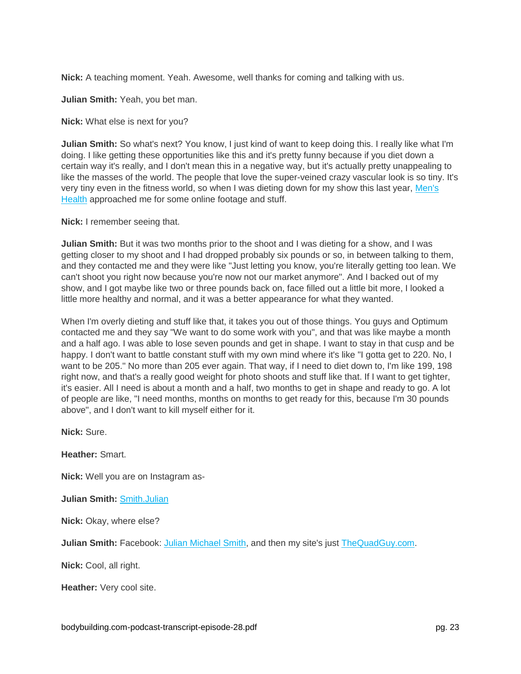**Nick:** A teaching moment. Yeah. Awesome, well thanks for coming and talking with us.

**Julian Smith:** Yeah, you bet man.

**Nick:** What else is next for you?

**Julian Smith:** So what's next? You know, I just kind of want to keep doing this. I really like what I'm doing. I like getting these opportunities like this and it's pretty funny because if you diet down a certain way it's really, and I don't mean this in a negative way, but it's actually pretty unappealing to like the masses of the world. The people that love the super-veined crazy vascular look is so tiny. It's very tiny even in the fitness world, so when I was dieting down for my show this last year, [Men's](https://www.bodybuilding.com/author/mens-health)  [Health](https://www.bodybuilding.com/author/mens-health) approached me for some online footage and stuff.

**Nick:** I remember seeing that.

**Julian Smith:** But it was two months prior to the shoot and I was dieting for a show, and I was getting closer to my shoot and I had dropped probably six pounds or so, in between talking to them, and they contacted me and they were like "Just letting you know, you're literally getting too lean. We can't shoot you right now because you're now not our market anymore". And I backed out of my show, and I got maybe like two or three pounds back on, face filled out a little bit more, I looked a little more healthy and normal, and it was a better appearance for what they wanted.

When I'm overly dieting and stuff like that, it takes you out of those things. You guys and Optimum contacted me and they say "We want to do some work with you", and that was like maybe a month and a half ago. I was able to lose seven pounds and get in shape. I want to stay in that cusp and be happy. I don't want to battle constant stuff with my own mind where it's like "I gotta get to 220. No, I want to be 205." No more than 205 ever again. That way, if I need to diet down to, I'm like 199, 198 right now, and that's a really good weight for photo shoots and stuff like that. If I want to get tighter, it's easier. All I need is about a month and a half, two months to get in shape and ready to go. A lot of people are like, "I need months, months on months to get ready for this, because I'm 30 pounds above", and I don't want to kill myself either for it.

**Nick:** Sure.

**Heather:** Smart.

**Nick:** Well you are on Instagram as-

**Julian Smith:** [Smith.Julian](https://www.instagram.com/Smith.Julian/)

**Nick:** Okay, where else?

**Julian Smith:** Facebook: [Julian Michael Smith,](https://www.facebook.com/TheQuadGuy/) and then my site's just [TheQuadGuy.com.](http://www.thequadguy.com/)

**Nick:** Cool, all right.

**Heather:** Very cool site.